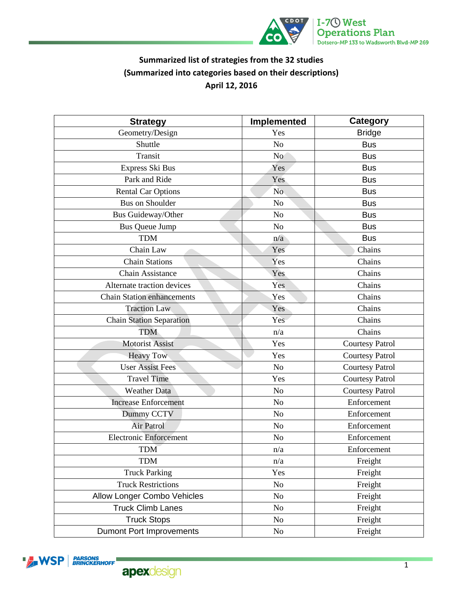

## **Summarized list of strategies from the 32 studies (Summarized into categories based on their descriptions) April 12, 2016**

| <b>Strategy</b>                   | Implemented     | <b>Category</b>        |
|-----------------------------------|-----------------|------------------------|
| Geometry/Design                   | Yes             | <b>Bridge</b>          |
| Shuttle                           | N <sub>o</sub>  | <b>Bus</b>             |
| Transit                           | No <sup>1</sup> | <b>Bus</b>             |
| Express Ski Bus                   | Yes             | <b>Bus</b>             |
| Park and Ride                     | <b>Yes</b>      | <b>Bus</b>             |
| <b>Rental Car Options</b>         | No.             | <b>Bus</b>             |
| <b>Bus on Shoulder</b>            | No              | <b>Bus</b>             |
| Bus Guideway/Other                | No              | <b>Bus</b>             |
| <b>Bus Queue Jump</b>             | N <sub>o</sub>  | <b>Bus</b>             |
| <b>TDM</b>                        | n/a             | <b>Bus</b>             |
| Chain Law                         | Yes             | Chains                 |
| <b>Chain Stations</b>             | Yes             | Chains                 |
| <b>Chain Assistance</b>           | Yes             | Chains                 |
| Alternate traction devices        | Yes             | Chains                 |
| <b>Chain Station enhancements</b> | Yes             | Chains                 |
| <b>Traction Law</b>               | Yes             | Chains                 |
| <b>Chain Station Separation</b>   | Yes             | Chains                 |
| <b>TDM</b>                        | n/a             | Chains                 |
| <b>Motorist Assist</b>            | Yes             | <b>Courtesy Patrol</b> |
| <b>Heavy Tow</b>                  | Yes             | <b>Courtesy Patrol</b> |
| <b>User Assist Fees</b>           | N <sub>0</sub>  | <b>Courtesy Patrol</b> |
| <b>Travel Time</b>                | Yes             | <b>Courtesy Patrol</b> |
| <b>Weather Data</b>               | N <sub>o</sub>  | <b>Courtesy Patrol</b> |
| <b>Increase Enforcement</b>       | N <sub>o</sub>  | Enforcement            |
| Dummy CCTV                        | N <sub>o</sub>  | Enforcement            |
| <b>Air Patrol</b>                 | N <sub>o</sub>  | Enforcement            |
| <b>Electronic Enforcement</b>     | N <sub>o</sub>  | Enforcement            |
| <b>TDM</b>                        | n/a             | Enforcement            |
| <b>TDM</b>                        | n/a             | Freight                |
| <b>Truck Parking</b>              | Yes             | Freight                |
| <b>Truck Restrictions</b>         | No              | Freight                |
| Allow Longer Combo Vehicles       | No              | Freight                |
| <b>Truck Climb Lanes</b>          | N <sub>0</sub>  | Freight                |
| <b>Truck Stops</b>                | N <sub>o</sub>  | Freight                |
| <b>Dumont Port Improvements</b>   | $\rm No$        | Freight                |
|                                   |                 |                        |

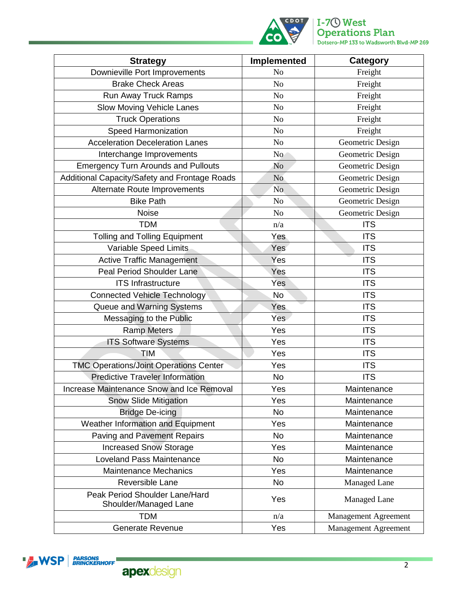

| <b>Strategy</b>                                         | Implemented    | Category                    |
|---------------------------------------------------------|----------------|-----------------------------|
| Downieville Port Improvements                           | N <sub>o</sub> | Freight                     |
| <b>Brake Check Areas</b>                                | N <sub>o</sub> | Freight                     |
| Run Away Truck Ramps                                    | N <sub>o</sub> | Freight                     |
| Slow Moving Vehicle Lanes                               | N <sub>o</sub> | Freight                     |
| <b>Truck Operations</b>                                 | N <sub>o</sub> | Freight                     |
| <b>Speed Harmonization</b>                              | N <sub>o</sub> | Freight                     |
| <b>Acceleration Deceleration Lanes</b>                  | No             | Geometric Design            |
| Interchange Improvements                                | N <sub>o</sub> | Geometric Design            |
| <b>Emergency Turn Arounds and Pullouts</b>              | N <sub>o</sub> | Geometric Design            |
| Additional Capacity/Safety and Frontage Roads           | No.            | Geometric Design            |
| Alternate Route Improvements                            | N <sub>o</sub> | Geometric Design            |
| <b>Bike Path</b>                                        | No             | Geometric Design            |
| <b>Noise</b>                                            | N <sub>o</sub> | Geometric Design            |
| <b>TDM</b>                                              | n/a            | <b>ITS</b>                  |
| <b>Tolling and Tolling Equipment</b>                    | Yes            | <b>ITS</b>                  |
| Variable Speed Limits                                   | Yes            | <b>ITS</b>                  |
| <b>Active Traffic Management</b>                        | Yes            | <b>ITS</b>                  |
| <b>Peal Period Shoulder Lane</b>                        | Yes            | <b>ITS</b>                  |
| <b>ITS Infrastructure</b>                               | Yes            | <b>ITS</b>                  |
| <b>Connected Vehicle Technology</b>                     | <b>No</b>      | <b>ITS</b>                  |
| Queue and Warning Systems                               | Yes            | <b>ITS</b>                  |
| Messaging to the Public                                 | <b>Yes</b>     | <b>ITS</b>                  |
| <b>Ramp Meters</b>                                      | Yes            | <b>ITS</b>                  |
| <b>ITS Software Systems</b>                             | Yes            | <b>ITS</b>                  |
| <b>TIM</b>                                              | Yes            | <b>ITS</b>                  |
| <b>TMC Operations/Joint Operations Center</b>           | Yes            | <b>ITS</b>                  |
| <b>Predictive Traveler Information</b>                  | <b>No</b>      | <b>ITS</b>                  |
| Increase Maintenance Snow and Ice Removal               | Yes            | Maintenance                 |
| <b>Snow Slide Mitigation</b>                            | Yes            | Maintenance                 |
| <b>Bridge De-icing</b>                                  | <b>No</b>      | Maintenance                 |
| Weather Information and Equipment                       | Yes            | Maintenance                 |
| <b>Paving and Pavement Repairs</b>                      | <b>No</b>      | Maintenance                 |
| <b>Increased Snow Storage</b>                           | Yes            | Maintenance                 |
| <b>Loveland Pass Maintenance</b>                        | <b>No</b>      | Maintenance                 |
| <b>Maintenance Mechanics</b>                            | Yes            | Maintenance                 |
| Reversible Lane                                         | <b>No</b>      | Managed Lane                |
| Peak Period Shoulder Lane/Hard<br>Shoulder/Managed Lane | Yes            | <b>Managed Lane</b>         |
| <b>TDM</b>                                              | n/a            | <b>Management Agreement</b> |
| Generate Revenue                                        | Yes            | <b>Management Agreement</b> |

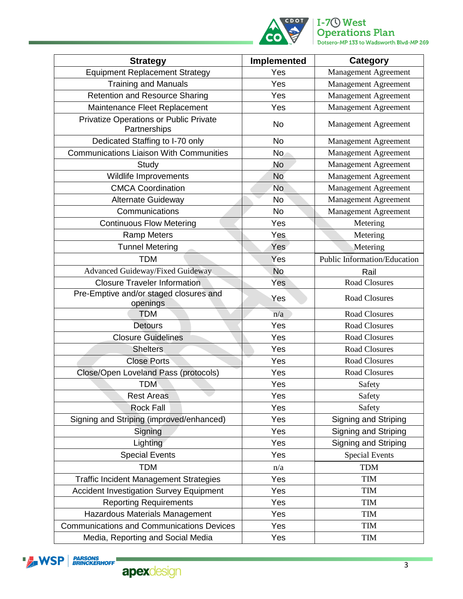

## **I-7<sup>O</sup> West**<br>**Operations Plan**<br>Dotsero-MP 133 to Wadsworth Blvd-MP 269

| <b>Strategy</b>                                        | Implemented | <b>Category</b>              |
|--------------------------------------------------------|-------------|------------------------------|
| <b>Equipment Replacement Strategy</b>                  | Yes         | <b>Management Agreement</b>  |
| <b>Training and Manuals</b>                            | Yes         | <b>Management Agreement</b>  |
| <b>Retention and Resource Sharing</b>                  | Yes         | <b>Management Agreement</b>  |
| Maintenance Fleet Replacement                          | Yes         | Management Agreement         |
| Privatize Operations or Public Private<br>Partnerships | <b>No</b>   | <b>Management Agreement</b>  |
| Dedicated Staffing to I-70 only                        | <b>No</b>   | <b>Management Agreement</b>  |
| <b>Communications Liaison With Communities</b>         | <b>No</b>   | Management Agreement         |
| Study                                                  | No          | <b>Management Agreement</b>  |
| Wildlife Improvements                                  | <b>No</b>   | <b>Management Agreement</b>  |
| <b>CMCA Coordination</b>                               | <b>No</b>   | <b>Management Agreement</b>  |
| <b>Alternate Guideway</b>                              | No          | Management Agreement         |
| Communications                                         | <b>No</b>   | <b>Management Agreement</b>  |
| <b>Continuous Flow Metering</b>                        | Yes         | Metering                     |
| <b>Ramp Meters</b>                                     | Yes         | Metering                     |
| <b>Tunnel Metering</b>                                 | Yes         | Metering                     |
| <b>TDM</b>                                             | Yes         | Public Information/Education |
| Advanced Guideway/Fixed Guideway                       | <b>No</b>   | Rail                         |
| <b>Closure Traveler Information</b>                    | Yes         | <b>Road Closures</b>         |
| Pre-Emptive and/or staged closures and<br>openings     | Yes         | <b>Road Closures</b>         |
| <b>TDM</b>                                             | n/a         | <b>Road Closures</b>         |
| <b>Detours</b>                                         | Yes         | Road Closures                |
| <b>Closure Guidelines</b>                              | Yes         | <b>Road Closures</b>         |
| <b>Shelters</b>                                        | Yes         | <b>Road Closures</b>         |
| <b>Close Ports</b>                                     | Yes         | <b>Road Closures</b>         |
| Close/Open Loveland Pass (protocols)                   | Yes         | <b>Road Closures</b>         |
| <b>TDM</b>                                             | Yes         | Safety                       |
| <b>Rest Areas</b>                                      | Yes         | Safety                       |
| Rock Fall                                              | Yes         | Safety                       |
| Signing and Striping (improved/enhanced)               | Yes         | Signing and Striping         |
| Signing                                                | Yes         | Signing and Striping         |
| Lighting                                               | Yes         | Signing and Striping         |
| <b>Special Events</b>                                  | Yes         | <b>Special Events</b>        |
| <b>TDM</b>                                             | n/a         | <b>TDM</b>                   |
| <b>Traffic Incident Management Strategies</b>          | Yes         | <b>TIM</b>                   |
| <b>Accident Investigation Survey Equipment</b>         | Yes         | <b>TIM</b>                   |
| <b>Reporting Requirements</b>                          | Yes         | <b>TIM</b>                   |
| Hazardous Materials Management                         | Yes         | <b>TIM</b>                   |
| <b>Communications and Communications Devices</b>       | Yes         | <b>TIM</b>                   |
| Media, Reporting and Social Media                      | Yes         | $\ensuremath{\mathsf{TIM}}$  |

**EXAMPLE ARE SOLUTE**